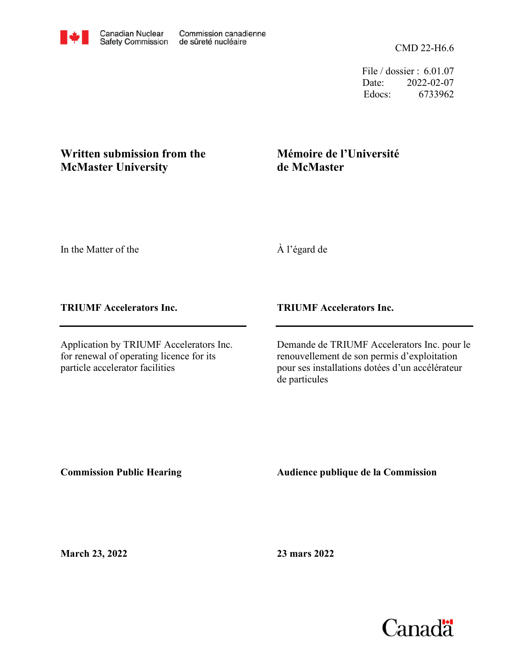File / dossier : 6.01.07 Date: 2022-02-07 Edocs: 6733962

## **McMaster University Written submission from the**

## **Mémoire de l'Université de McMaster**

In the Matter of the

À l'égard de

**TRIUMF Accelerators Inc.**

Application by TRIUMF Accelerators Inc. for renewal of operating licence for its particle accelerator facilities

**TRIUMF Accelerators Inc.**

Demande de TRIUMF Accelerators Inc. pour le renouvellement de son permis d'exploitation pour ses installations dotées d'un accélérateur de particules

**Commission Public Hearing**

**Audience publique de la Commission** 

**March 23, 2022**

**23 mars 2022**

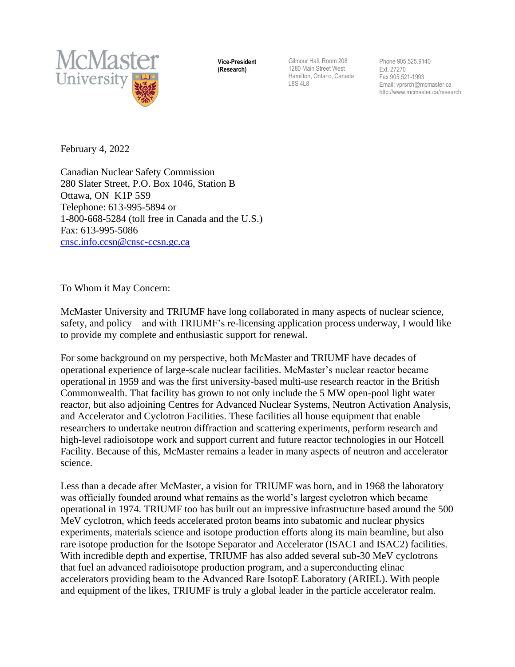

**Vice-President (Research)**

Gilmour Hall, Room 208 1280 Main Street West Hamilton, Ontario, Canada L8S 4L8

Phone 905.525.9140 Ext. 27270 Fax 905.521-1993 Email[: vprsrch@mcmaster.ca](mailto:vprsrch@mcmaster.ca) http://www.mcmaster.ca/research

February 4, 2022

Canadian Nuclear Safety Commission 280 Slater Street, P.O. Box 1046, Station B Ottawa, ON K1P 5S9 Telephone: 613-995-5894 or 1-800-668-5284 (toll free in Canada and the U.S.) Fax: 613-995-5086 [cnsc.info.ccsn@cnsc-ccsn.gc.ca](mailto:cnsc.info.ccsn@cnsc-ccsn.gc.ca)

To Whom it May Concern:

McMaster University and TRIUMF have long collaborated in many aspects of nuclear science, safety, and policy – and with TRIUMF's re-licensing application process underway, I would like to provide my complete and enthusiastic support for renewal.

For some background on my perspective, both McMaster and TRIUMF have decades of operational experience of large-scale nuclear facilities. McMaster's nuclear reactor became operational in 1959 and was the first university-based multi-use research reactor in the British Commonwealth. That facility has grown to not only include the 5 MW open-pool light water reactor, but also adjoining Centres for Advanced Nuclear Systems, Neutron Activation Analysis, and Accelerator and Cyclotron Facilities. These facilities all house equipment that enable researchers to undertake neutron diffraction and scattering experiments, perform research and high-level radioisotope work and support current and future reactor technologies in our Hotcell Facility. Because of this, McMaster remains a leader in many aspects of neutron and accelerator science.

Less than a decade after McMaster, a vision for TRIUMF was born, and in 1968 the laboratory was officially founded around what remains as the world's largest cyclotron which became operational in 1974. TRIUMF too has built out an impressive infrastructure based around the 500 MeV cyclotron, which feeds accelerated proton beams into subatomic and nuclear physics experiments, materials science and isotope production efforts along its main beamline, but also rare isotope production for the Isotope Separator and Accelerator (ISAC1 and ISAC2) facilities. With incredible depth and expertise, TRIUMF has also added several sub-30 MeV cyclotrons that fuel an advanced radioisotope production program, and a superconducting elinac accelerators providing beam to the Advanced Rare IsotopE Laboratory (ARIEL). With people and equipment of the likes, TRIUMF is truly a global leader in the particle accelerator realm.